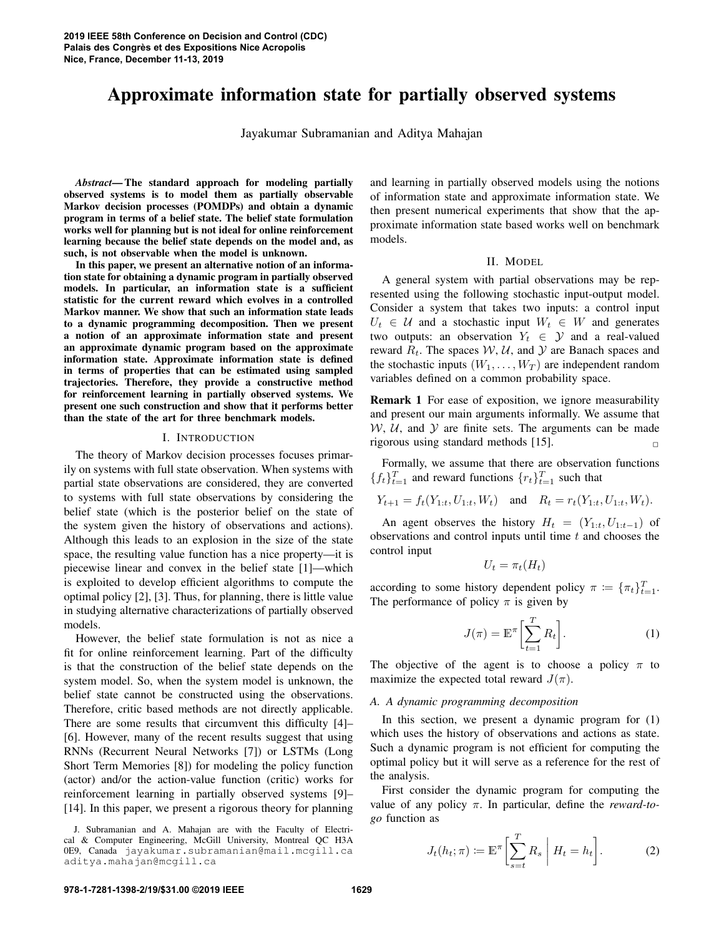# Approximate information state for partially observed systems

Jayakumar Subramanian and Aditya Mahajan

*Abstract*— The standard approach for modeling partially observed systems is to model them as partially observable Markov decision processes (POMDPs) and obtain a dynamic program in terms of a belief state. The belief state formulation works well for planning but is not ideal for online reinforcement learning because the belief state depends on the model and, as such, is not observable when the model is unknown.

In this paper, we present an alternative notion of an information state for obtaining a dynamic program in partially observed models. In particular, an information state is a sufficient statistic for the current reward which evolves in a controlled Markov manner. We show that such an information state leads to a dynamic programming decomposition. Then we present a notion of an approximate information state and present an approximate dynamic program based on the approximate information state. Approximate information state is defined in terms of properties that can be estimated using sampled trajectories. Therefore, they provide a constructive method for reinforcement learning in partially observed systems. We present one such construction and show that it performs better than the state of the art for three benchmark models.

### I. INTRODUCTION

The theory of Markov decision processes focuses primarily on systems with full state observation. When systems with partial state observations are considered, they are converted to systems with full state observations by considering the belief state (which is the posterior belief on the state of the system given the history of observations and actions). Although this leads to an explosion in the size of the state space, the resulting value function has a nice property—it is piecewise linear and convex in the belief state [1]—which is exploited to develop efficient algorithms to compute the optimal policy [2], [3]. Thus, for planning, there is little value in studying alternative characterizations of partially observed models.

However, the belief state formulation is not as nice a fit for online reinforcement learning. Part of the difficulty is that the construction of the belief state depends on the system model. So, when the system model is unknown, the belief state cannot be constructed using the observations. Therefore, critic based methods are not directly applicable. There are some results that circumvent this difficulty [4]– [6]. However, many of the recent results suggest that using RNNs (Recurrent Neural Networks [7]) or LSTMs (Long Short Term Memories [8]) for modeling the policy function (actor) and/or the action-value function (critic) works for reinforcement learning in partially observed systems [9]– [14]. In this paper, we present a rigorous theory for planning

and learning in partially observed models using the notions of information state and approximate information state. We then present numerical experiments that show that the approximate information state based works well on benchmark models.

### II. MODEL

A general system with partial observations may be represented using the following stochastic input-output model. Consider a system that takes two inputs: a control input  $U_t \in \mathcal{U}$  and a stochastic input  $W_t \in W$  and generates two outputs: an observation  $Y_t \in \mathcal{Y}$  and a real-valued reward  $R_t$ . The spaces  $W$ ,  $U$ , and  $Y$  are Banach spaces and the stochastic inputs  $(W_1, \ldots, W_T)$  are independent random variables defined on a common probability space.

Remark 1 For ease of exposition, we ignore measurability and present our main arguments informally. We assume that  $W, U$ , and  $Y$  are finite sets. The arguments can be made rigorous using standard methods [15]. **□** 

Formally, we assume that there are observation functions  ${f_t}_{t=1}^T$  and reward functions  ${r_t}_{t=1}^T$  such that

$$
Y_{t+1} = f_t(Y_{1:t}, U_{1:t}, W_t)
$$
 and  $R_t = r_t(Y_{1:t}, U_{1:t}, W_t)$ .

An agent observes the history  $H_t = (Y_{1:t}, U_{1:t-1})$  of observations and control inputs until time *t* and chooses the control input

$$
U_t = \pi_t(H_t)
$$

according to some history dependent policy  $\pi := {\{\pi_t\}}_{t=1}^T$ . The performance of policy  $\pi$  is given by

$$
J(\pi) = \mathbb{E}^{\pi} \left[ \sum_{t=1}^{T} R_t \right].
$$
 (1)

The objective of the agent is to choose a policy  $\pi$  to maximize the expected total reward  $J(\pi)$ .

### *A. A dynamic programming decomposition*

In this section, we present a dynamic program for  $(1)$ which uses the history of observations and actions as state. Such a dynamic program is not efficient for computing the optimal policy but it will serve as a reference for the rest of the analysis.

First consider the dynamic program for computing the value of any policy *π*. In particular, define the *reward-togo* function as

$$
J_t(h_t; \pi) := \mathbb{E}^\pi \bigg[ \sum_{s=t}^T R_s \mid H_t = h_t \bigg]. \tag{2}
$$

J. Subramanian and A. Mahajan are with the Faculty of Electrical & Computer Engineering, McGill University, Montreal QC H3A 0E9, Canada jayakumar.subramanian@mail.mcgill.ca aditya.mahajan@mcgill.ca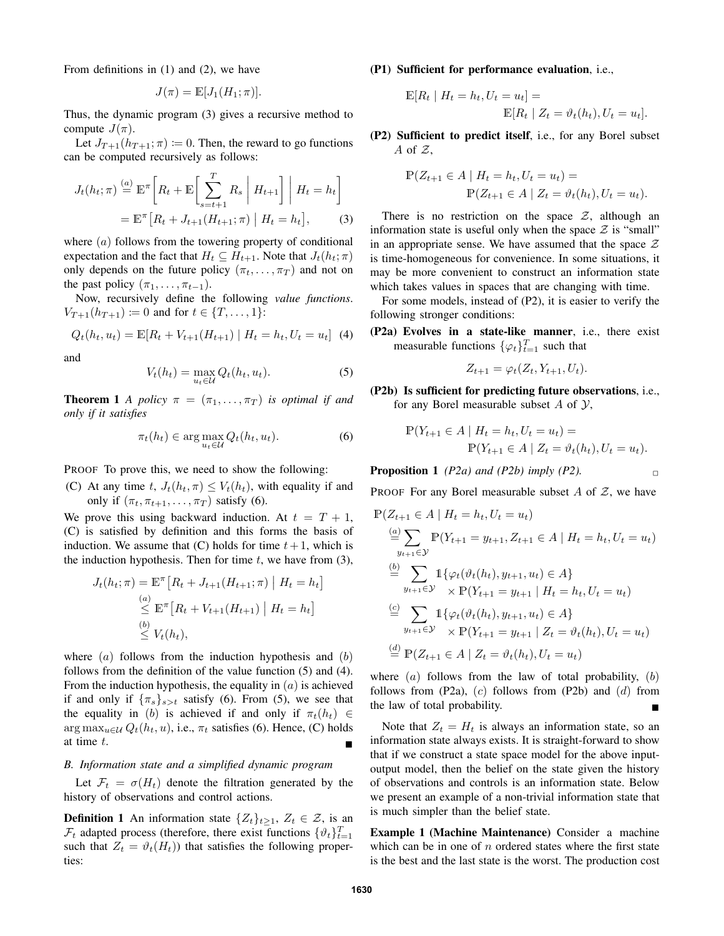From definitions in (1) and (2), we have

$$
J(\pi) = \mathbb{E}[J_1(H_1; \pi)].
$$

Thus, the dynamic program (3) gives a recursive method to compute  $J(\pi)$ .

Let  $J_{T+1}(h_{T+1}; \pi) := 0$ . Then, the reward to go functions can be computed recursively as follows:

$$
J_t(h_t; \pi) \stackrel{(a)}{=} \mathbb{E}^{\pi} \bigg[ R_t + \mathbb{E} \bigg[ \sum_{s=t+1}^T R_s \mid H_{t+1} \bigg] \mid H_t = h_t \bigg]
$$

$$
= \mathbb{E}^{\pi} \big[ R_t + J_{t+1}(H_{t+1}; \pi) \mid H_t = h_t \big], \tag{3}
$$

where (*a*) follows from the towering property of conditional expectation and the fact that  $H_t \subseteq H_{t+1}$ . Note that  $J_t(h_t; \pi)$ only depends on the future policy  $(\pi_t, \dots, \pi_T)$  and not on the past policy  $(\pi_1, \ldots, \pi_{t-1})$ .

Now, recursively define the following *value functions*.  $V_{T+1}(h_{T+1}) \coloneqq 0$  and for  $t \in \{T, \ldots, 1\}$ :

$$
Q_t(h_t, u_t) = \mathbb{E}[R_t + V_{t+1}(H_{t+1}) | H_t = h_t, U_t = u_t]
$$
 (4)

and

$$
V_t(h_t) = \max_{u_t \in \mathcal{U}} Q_t(h_t, u_t).
$$
 (5)

**Theorem 1** *A policy*  $\pi = (\pi_1, \dots, \pi_T)$  *is optimal if and only if it satisfies*

$$
\pi_t(h_t) \in \arg\max_{u_t \in \mathcal{U}} Q_t(h_t, u_t). \tag{6}
$$

PROOF To prove this, we need to show the following:

(C) At any time *t*,  $J_t(h_t, \pi) \leq V_t(h_t)$ , with equality if and only if  $(\pi_t, \pi_{t+1}, \ldots, \pi_T)$  satisfy (6).

We prove this using backward induction. At  $t = T + 1$ , (C) is satisfied by definition and this forms the basis of induction. We assume that  $(C)$  holds for time  $t + 1$ , which is the induction hypothesis. Then for time  $t$ , we have from  $(3)$ ,

$$
J_t(h_t; \pi) = \mathbb{E}^{\pi} \left[ R_t + J_{t+1}(H_{t+1}; \pi) \mid H_t = h_t \right]
$$
  
\n
$$
\leq \mathbb{E}^{\pi} \left[ R_t + V_{t+1}(H_{t+1}) \mid H_t = h_t \right]
$$
  
\n
$$
\leq V_t(h_t),
$$

where (*a*) follows from the induction hypothesis and (*b*) follows from the definition of the value function (5) and (4). From the induction hypothesis, the equality in (*a*) is achieved if and only if  ${\{\pi_s\}_{s>t}}$  satisfy (6). From (5), we see that the equality in (*b*) is achieved if and only if  $\pi_t(h_t) \in$ arg max<sub>u</sub>∈u  $Q_t(h_t, u)$ , i.e.,  $\pi_t$  satisfies (6). Hence, (C) holds at time  $t$ .

### *B. Information state and a simplified dynamic program*

Let  $\mathcal{F}_t = \sigma(H_t)$  denote the filtration generated by the history of observations and control actions.

**Definition 1** An information state  $\{Z_t\}_{t\geq 1}$ ,  $Z_t \in \mathcal{Z}$ , is an  $\mathcal{F}_t$  adapted process (therefore, there exist functions  $\{\vartheta_t\}_{t=1}^T$ such that  $Z_t = \vartheta_t(H_t)$ ) that satisfies the following properties:

(P1) Sufficient for performance evaluation, i.e.,

$$
\mathbb{E}[R_t | H_t = h_t, U_t = u_t] =
$$
  

$$
\mathbb{E}[R_t | Z_t = \vartheta_t(h_t), U_t = u_t].
$$

(P2) Sufficient to predict itself, i.e., for any Borel subset *A* of *Z*,

$$
\mathbb{P}(Z_{t+1} \in A \mid H_t = h_t, U_t = u_t) =
$$
  

$$
\mathbb{P}(Z_{t+1} \in A \mid Z_t = \vartheta_t(h_t), U_t = u_t).
$$

There is no restriction on the space  $Z$ , although an information state is useful only when the space  $Z$  is "small" in an appropriate sense. We have assumed that the space *Z* is time-homogeneous for convenience. In some situations, it may be more convenient to construct an information state which takes values in spaces that are changing with time.

For some models, instead of (P2), it is easier to verify the following stronger conditions:

(P2a) Evolves in a state-like manner, i.e., there exist measurable functions  $\{\varphi_t\}_{t=1}^T$  such that

$$
Z_{t+1} = \varphi_t(Z_t, Y_{t+1}, U_t).
$$

(P2b) Is sufficient for predicting future observations, i.e., for any Borel measurable subset *A* of *Y*,

$$
\mathbb{P}(Y_{t+1} \in A \mid H_t = h_t, U_t = u_t) =
$$
  
 
$$
\mathbb{P}(Y_{t+1} \in A \mid Z_t = \vartheta_t(h_t), U_t = u_t).
$$

**Proposition 1** *(P2a)* and *(P2b) imply (P2)*.

PROOF For any Borel measurable subset *A* of *Z*, we have

$$
\mathbb{P}(Z_{t+1} \in A \mid H_t = h_t, U_t = u_t)
$$
\n
$$
\stackrel{(a)}{=} \sum_{y_{t+1} \in \mathcal{Y}} \mathbb{P}(Y_{t+1} = y_{t+1}, Z_{t+1} \in A \mid H_t = h_t, U_t = u_t)
$$
\n
$$
\stackrel{(b)}{=} \sum_{y_{t+1} \in \mathcal{Y}} \mathbb{1}\{\varphi_t(\vartheta_t(h_t), y_{t+1}, u_t) \in A\}
$$
\n
$$
\stackrel{(c)}{=} \sum_{y_{t+1} \in \mathcal{Y}} \mathbb{1}\{\varphi_t(\vartheta_t(h_t), y_{t+1}, u_t) \in A\}
$$
\n
$$
\stackrel{(c)}{=} \sum_{y_{t+1} \in \mathcal{Y}} \mathbb{1}\{\varphi_t(\vartheta_t(h_t), y_{t+1}, u_t) \in A\}
$$
\n
$$
\stackrel{(d)}{=} \mathbb{P}(Z_{t+1} \in A \mid Z_t = \vartheta_t(h_t), U_t = u_t)
$$

where (*a*) follows from the law of total probability, (*b*) follows from (P2a), (*c*) follows from (P2b) and (*d*) from the law of total probability.

Note that  $Z_t = H_t$  is always an information state, so an information state always exists. It is straight-forward to show that if we construct a state space model for the above inputoutput model, then the belief on the state given the history of observations and controls is an information state. Below we present an example of a non-trivial information state that is much simpler than the belief state.

Example 1 (Machine Maintenance) Consider a machine which can be in one of *n* ordered states where the first state is the best and the last state is the worst. The production cost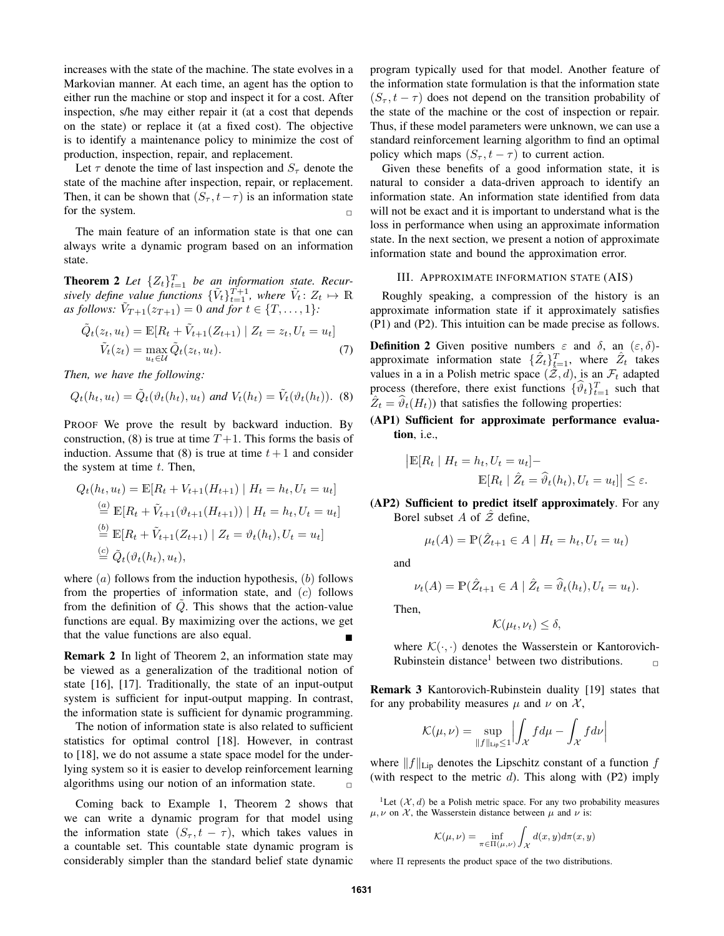increases with the state of the machine. The state evolves in a Markovian manner. At each time, an agent has the option to either run the machine or stop and inspect it for a cost. After inspection, s/he may either repair it (at a cost that depends on the state) or replace it (at a fixed cost). The objective is to identify a maintenance policy to minimize the cost of production, inspection, repair, and replacement.

Let  $\tau$  denote the time of last inspection and  $S_{\tau}$  denote the state of the machine after inspection, repair, or replacement. Then, it can be shown that  $(S_{\tau}, t - \tau)$  is an information state for the system.  $\Box$ 

The main feature of an information state is that one can always write a dynamic program based on an information state.

**Theorem 2** Let  $\{Z_t\}_{t=1}^T$  be an information state. Recur*sively define value functions*  $\{\tilde{V}_t\}_{t=1}^{T+1}$ , where  $\tilde{V}_t$ :  $Z_t \mapsto \mathbb{R}$  $\overline{V}_{T+1}(z_{T+1}) = 0$  *and for*  $t \in \{T, \ldots, 1\}$ :

$$
\tilde{Q}_t(z_t, u_t) = \mathbb{E}[R_t + \tilde{V}_{t+1}(Z_{t+1}) | Z_t = z_t, U_t = u_t]
$$
  

$$
\tilde{V}_t(z_t) = \max_{u_t \in \mathcal{U}} \tilde{Q}_t(z_t, u_t).
$$
 (7)

*Then, we have the following:*

$$
Q_t(h_t, u_t) = \tilde{Q}_t(\vartheta_t(h_t), u_t) \text{ and } V_t(h_t) = \tilde{V}_t(\vartheta_t(h_t)). \text{ (8)}
$$

PROOF We prove the result by backward induction. By construction, (8) is true at time  $T+1$ . This forms the basis of induction. Assume that  $(8)$  is true at time  $t+1$  and consider the system at time *t*. Then,

$$
Q_t(h_t, u_t) = \mathbb{E}[R_t + V_{t+1}(H_{t+1}) | H_t = h_t, U_t = u_t]
$$
  
\n
$$
\stackrel{(a)}{=} \mathbb{E}[R_t + \tilde{V}_{t+1}(\vartheta_{t+1}(H_{t+1})) | H_t = h_t, U_t = u_t]
$$
  
\n
$$
\stackrel{(b)}{=} \mathbb{E}[R_t + \tilde{V}_{t+1}(Z_{t+1}) | Z_t = \vartheta_t(h_t), U_t = u_t]
$$
  
\n
$$
\stackrel{(c)}{=} \tilde{Q}_t(\vartheta_t(h_t), u_t),
$$

where (*a*) follows from the induction hypothesis, (*b*) follows from the properties of information state, and (*c*) follows from the definition of  $\tilde{Q}$ . This shows that the action-value functions are equal. By maximizing over the actions, we get that the value functions are also equal.  $\blacksquare$ 

Remark 2 In light of Theorem 2, an information state may be viewed as a generalization of the traditional notion of state [16], [17]. Traditionally, the state of an input-output system is sufficient for input-output mapping. In contrast, the information state is sufficient for dynamic programming.

The notion of information state is also related to sufficient statistics for optimal control [18]. However, in contrast to [18], we do not assume a state space model for the underlying system so it is easier to develop reinforcement learning algorithms using our notion of an information state.  $\Box$ 

Coming back to Example 1, Theorem 2 shows that we can write a dynamic program for that model using the information state  $(S_{\tau}, t - \tau)$ , which takes values in a countable set. This countable state dynamic program is considerably simpler than the standard belief state dynamic program typically used for that model. Another feature of the information state formulation is that the information state  $(S_{\tau}, t - \tau)$  does not depend on the transition probability of the state of the machine or the cost of inspection or repair. Thus, if these model parameters were unknown, we can use a standard reinforcement learning algorithm to find an optimal policy which maps  $(S_\tau, t - \tau)$  to current action.

Given these benefits of a good information state, it is natural to consider a data-driven approach to identify an information state. An information state identified from data will not be exact and it is important to understand what is the loss in performance when using an approximate information state. In the next section, we present a notion of approximate information state and bound the approximation error.

### III. APPROXIMATE INFORMATION STATE (AIS)

Roughly speaking, a compression of the history is an approximate information state if it approximately satisfies (P1) and (P2). This intuition can be made precise as follows.

**Definition 2** Given positive numbers  $\varepsilon$  and  $\delta$ , an  $(\varepsilon, \delta)$ approximate information state  $\{\hat{Z}_t\}_{t=1}^T$ , where  $\hat{Z}_t$  takes values in a in a Polish metric space  $(\mathcal{Z}, d)$ , is an  $\mathcal{F}_t$  adapted process (therefore, there exist functions  $\{\hat{\vartheta}_t\}_{t=1}^T$  such that  $\hat{Z}_t = \hat{\vartheta}_t(H_t)$ ) that satisfies the following properties:

(AP1) Sufficient for approximate performance evaluation, i.e.,

$$
\begin{aligned} \left| \mathbb{E}[R_t \mid H_t = h_t, U_t = u_t] - \\ \mathbb{E}[R_t \mid \hat{Z}_t = \hat{\vartheta}_t(h_t), U_t = u_t] \right| &\leq \varepsilon. \end{aligned}
$$

(AP2) Sufficient to predict itself approximately. For any Borel subset *A* of *Z*ˆ define,

$$
\mu_t(A) = \mathbb{P}(\hat{Z}_{t+1} \in A \mid H_t = h_t, U_t = u_t)
$$

and

$$
\nu_t(A) = \mathbb{P}(\hat{Z}_{t+1} \in A \mid \hat{Z}_t = \hat{\vartheta}_t(h_t), U_t = u_t).
$$

Then,

$$
\mathcal{K}(\mu_t, \nu_t) \le \delta,
$$

where  $K(\cdot, \cdot)$  denotes the Wasserstein or Kantorovich-Rubinstein distance<sup>1</sup> between two distributions.

Remark 3 Kantorovich-Rubinstein duality [19] states that for any probability measures  $\mu$  and  $\nu$  on  $\mathcal{X}$ ,

$$
\mathcal{K}(\mu,\nu)=\sup_{\|f\|_{\mathrm{Lip}}\leq 1}\Bigl|\int_{\mathcal{X}}f d\mu-\int_{\mathcal{X}}f d\nu\Bigr|
$$

where *∥f∥*Lip denotes the Lipschitz constant of a function *f* (with respect to the metric *d*). This along with (P2) imply

<sup>1</sup>Let  $(X, d)$  be a Polish metric space. For any two probability measures  $\mu, \nu$  on *X*, the Wasserstein distance between  $\mu$  and  $\nu$  is:

$$
\mathcal{K}(\mu,\nu) = \inf_{\pi \in \Pi(\mu,\nu)} \int_{\mathcal{X}} d(x,y) d\pi(x,y)
$$

where Π represents the product space of the two distributions.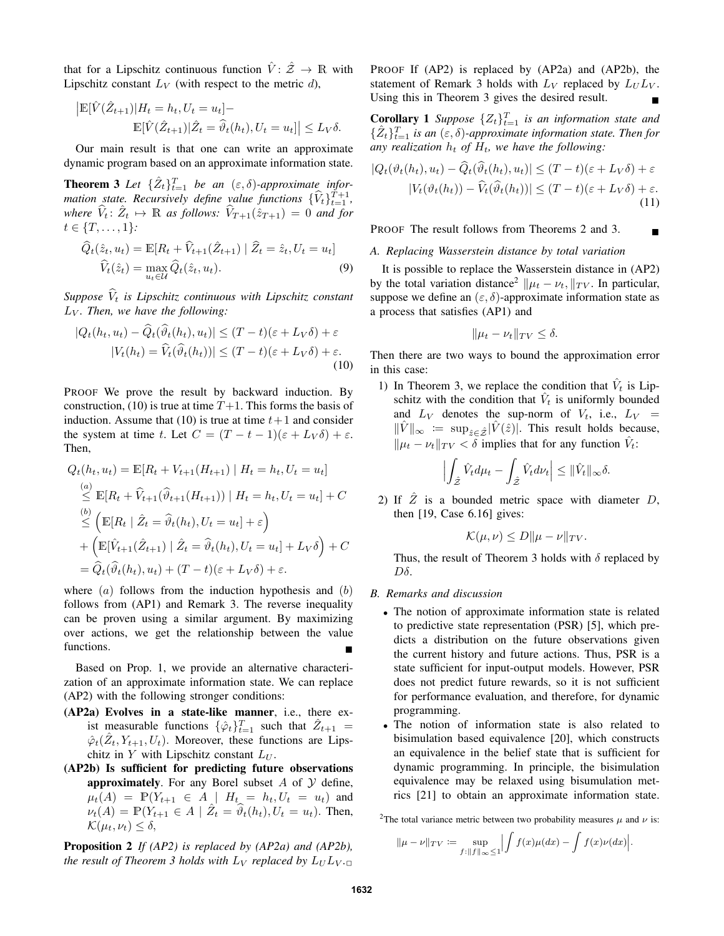that for a Lipschitz continuous function  $\hat{V}: \hat{Z} \to \mathbb{R}$  with Lipschitz constant  $L_V$  (with respect to the metric *d*),

$$
\begin{aligned} \left| \mathbb{E}[\hat{V}(\hat{Z}_{t+1})|H_t=h_t,U_t=u_t] - \\ \mathbb{E}[\hat{V}(\hat{Z}_{t+1})|\hat{Z}_t=\hat{\vartheta}_t(h_t),U_t=u_t] \right| \le L_V \delta. \end{aligned}
$$

Our main result is that one can write an approximate dynamic program based on an approximate information state.

**Theorem 3** Let  $\{\hat{Z}_t\}_{t=1}^T$  be an  $(\varepsilon, \delta)$ -approximate infor*mation state. Recursively define value functions*  $\{\widehat{V}_t\}_{t=1}^{T+1}$ , *where*  $\hat{V}_t: \hat{Z}_t \mapsto \mathbb{R}$  *as follows:*  $\hat{V}_{T+1}(\hat{z}_{T+1}) = 0$  *and for*  $t \in \{T, \ldots, 1\}$ *:* 

$$
\widehat{Q}_t(\hat{z}_t, u_t) = \mathbb{E}[R_t + \widehat{V}_{t+1}(\hat{Z}_{t+1}) | \widehat{Z}_t = \hat{z}_t, U_t = u_t]
$$
  

$$
\widehat{V}_t(\hat{z}_t) = \max_{u_t \in \mathcal{U}} \widehat{Q}_t(\hat{z}_t, u_t).
$$
 (9)

*Suppose*  $\hat{V}_t$  *is Lipschitz continuous with Lipschitz constant L<sup>V</sup> . Then, we have the following:*

$$
|Q_t(h_t, u_t) - \tilde{Q}_t(\tilde{\vartheta}_t(h_t), u_t)| \le (T - t)(\varepsilon + L_V \delta) + \varepsilon
$$
  

$$
|V_t(h_t) = \tilde{V}_t(\hat{\vartheta}_t(h_t))| \le (T - t)(\varepsilon + L_V \delta) + \varepsilon.
$$
 (10)

PROOF We prove the result by backward induction. By construction, (10) is true at time  $T+1$ . This forms the basis of induction. Assume that (10) is true at time  $t+1$  and consider the system at time *t*. Let  $C = (T - t - 1)(\varepsilon + L_V \delta) + \varepsilon$ . Then,

$$
Q_t(h_t, u_t) = \mathbb{E}[R_t + V_{t+1}(H_{t+1}) | H_t = h_t, U_t = u_t]
$$
  
\n
$$
\leq \mathbb{E}[R_t + \hat{V}_{t+1}(\hat{\theta}_{t+1}(H_{t+1})) | H_t = h_t, U_t = u_t] + C
$$
  
\n
$$
\leq (\mathbb{E}[R_t | \hat{Z}_t = \hat{\theta}_t(h_t), U_t = u_t] + \varepsilon)
$$
  
\n
$$
+ (\mathbb{E}[\hat{V}_{t+1}(\hat{Z}_{t+1}) | \hat{Z}_t = \hat{\theta}_t(h_t), U_t = u_t] + L_V \delta) + C
$$
  
\n
$$
= \hat{Q}_t(\hat{\theta}_t(h_t), u_t) + (T - t)(\varepsilon + L_V \delta) + \varepsilon.
$$

where (*a*) follows from the induction hypothesis and (*b*) follows from (AP1) and Remark 3. The reverse inequality can be proven using a similar argument. By maximizing over actions, we get the relationship between the value functions.

Based on Prop. 1, we provide an alternative characterization of an approximate information state. We can replace (AP2) with the following stronger conditions:

- (AP2a) Evolves in a state-like manner, i.e., there exist measurable functions  $\{\hat{\varphi}_t\}_{t=1}^T$  such that  $\hat{Z}_{t+1}$  =  $\hat{\varphi}_t(\hat{Z}_t, Y_{t+1}, U_t)$ . Moreover, these functions are Lipschitz in *Y* with Lipschitz constant *L<sup>U</sup>* .
- (AP2b) Is sufficient for predicting future observations approximately. For any Borel subset *A* of *Y* define,  $\mu_t(A) = \mathbb{P}(Y_{t+1} \in A \mid H_t = h_t, U_t = u_t)$  and  $\nu_t(A) = \mathbb{P}(Y_{t+1} \in A \mid \hat{Z}_t = \hat{\vartheta}_t(h_t), U_t = u_t)$ . Then,  $\mathcal{K}(\mu_t, \nu_t) \leq \delta$ ,

Proposition 2 *If (AP2) is replaced by (AP2a) and (AP2b), the result of Theorem 3 holds with*  $L_V$  *replaced by*  $L_U L_V$ . PROOF If (AP2) is replaced by (AP2a) and (AP2b), the statement of Remark 3 holds with  $L_V$  replaced by  $L_U L_V$ . Using this in Theorem 3 gives the desired result.  $\blacksquare$ 

**Corollary 1** *Suppose*  $\{Z_t\}_{t=1}^T$  *is an information state and*  $\{\hat{Z}_t\}_{t=1}^T$  *is an*  $(\varepsilon, \delta)$ *-approximate information state. Then for* any realization  $h_t$  of  $H_t$ , we have the following:

$$
|Q_t(\vartheta_t(h_t), u_t) - \widehat{Q}_t(\widehat{\vartheta}_t(h_t), u_t)| \le (T - t)(\varepsilon + L_V \delta) + \varepsilon
$$
  

$$
|V_t(\vartheta_t(h_t)) - \widehat{V}_t(\widehat{\vartheta}_t(h_t))| \le (T - t)(\varepsilon + L_V \delta) + \varepsilon.
$$
 (11)

PROOF The result follows from Theorems 2 and 3.

### *A. Replacing Wasserstein distance by total variation*

It is possible to replace the Wasserstein distance in (AP2) by the total variation distance<sup>2</sup>  $\|\mu_t - \nu_t\|_{TV}$ . In particular, suppose we define an  $(\varepsilon, \delta)$ -approximate information state as a process that satisfies (AP1) and

$$
\|\mu_t - \nu_t\|_{TV} \le \delta.
$$

Then there are two ways to bound the approximation error in this case:

1) In Theorem 3, we replace the condition that  $\hat{V}_t$  is Lipschitz with the condition that  $\hat{V}_t$  is uniformly bounded and  $L_V$  denotes the sup-norm of  $V_t$ , i.e.,  $L_V =$  $||\hat{V}||_{\infty}$  := sup<sub> $\hat{z} \in \hat{Z}$ | $\hat{V}(\hat{z})$ |. This result holds because,</sub> *∥µ*<sup>*t*</sup> − *v*<sup>*t*</sup> *|TV* <  $\delta$  implies that for any function  $\hat{V}_t$ :

$$
\left| \int_{\hat{\mathcal{Z}}} \hat{V}_t d\mu_t - \int_{\hat{\mathcal{Z}}} \hat{V}_t d\nu_t \right| \leq ||\hat{V}_t||_{\infty} \delta.
$$

2) If  $\hat{Z}$  is a bounded metric space with diameter  $D$ , then [19, Case 6.16] gives:

$$
\mathcal{K}(\mu,\nu) \le D \|\mu - \nu\|_{TV}.
$$

Thus, the result of Theorem 3 holds with *δ* replaced by *Dδ*.

- *B. Remarks and discussion*
	- *•* The notion of approximate information state is related to predictive state representation (PSR) [5], which predicts a distribution on the future observations given the current history and future actions. Thus, PSR is a state sufficient for input-output models. However, PSR does not predict future rewards, so it is not sufficient for performance evaluation, and therefore, for dynamic programming.
	- The notion of information state is also related to bisimulation based equivalence [20], which constructs an equivalence in the belief state that is sufficient for dynamic programming. In principle, the bisimulation equivalence may be relaxed using bisumulation metrics [21] to obtain an approximate information state.

<sup>2</sup>The total variance metric between two probability measures  $\mu$  and  $\nu$  is:

$$
\|\mu - \nu\|_{TV} := \sup_{f: \|f\|_{\infty} \le 1} \left| \int f(x) \mu(dx) - \int f(x) \nu(dx) \right|.
$$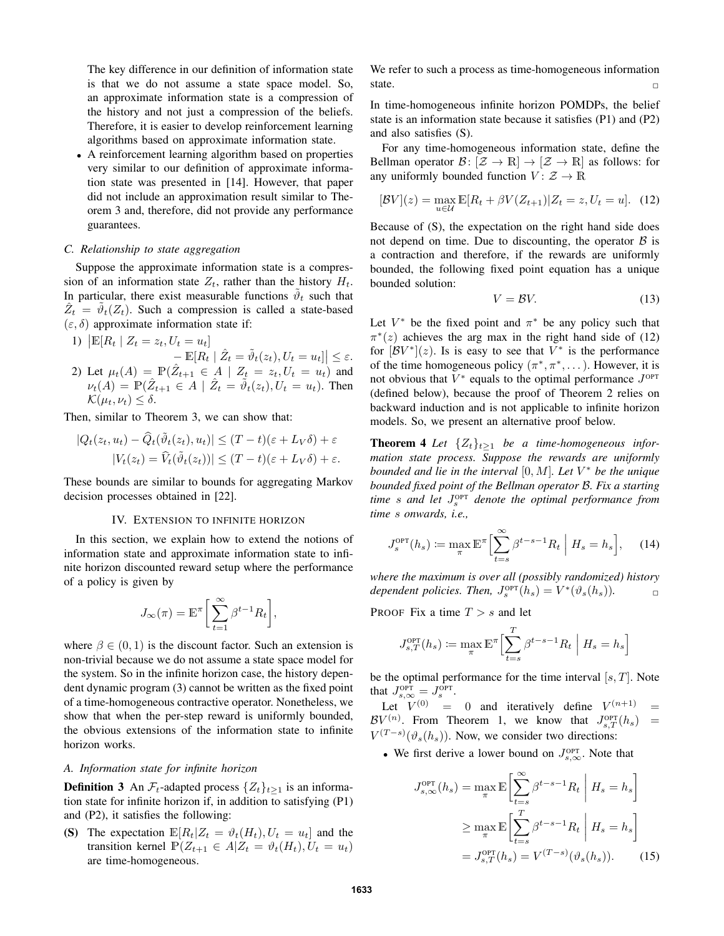The key difference in our definition of information state is that we do not assume a state space model. So, an approximate information state is a compression of the history and not just a compression of the beliefs. Therefore, it is easier to develop reinforcement learning algorithms based on approximate information state.

*•* A reinforcement learning algorithm based on properties very similar to our definition of approximate information state was presented in [14]. However, that paper did not include an approximation result similar to Theorem 3 and, therefore, did not provide any performance guarantees.

#### *C. Relationship to state aggregation*

Suppose the approximate information state is a compression of an information state  $Z_t$ , rather than the history  $H_t$ . In particular, there exist measurable functions  $\tilde{\vartheta}_t$  such that  $\hat{Z}_t = \tilde{\vartheta}_t(Z_t)$ . Such a compression is called a state-based  $(\varepsilon, \delta)$  approximate information state if:

\n- 1) 
$$
|\mathbb{E}[R_t | Z_t = z_t, U_t = u_t]
$$
\n
	\n- $-\mathbb{E}[R_t | \hat{Z}_t = \tilde{\vartheta}_t(z_t), U_t = u_t]| \leq \varepsilon$
	\n\n
\n- 2) Let  $\mu_t(A) = \mathbb{P}(\hat{Z}_{t+1} \in A | Z_t = z_t, U_t = u_t)$  and  $\nu_t(A) = \mathbb{P}(\hat{Z}_{t+1} \in A | \hat{Z}_t = \tilde{\vartheta}_t(z_t), U_t = u_t)$ . Then  $\mathcal{K}(\mu_t, \nu_t) \leq \delta$ .
\n

Then, similar to Theorem 3, we can show that:

$$
|Q_t(z_t, u_t) - \widehat{Q}_t(\tilde{\vartheta}_t(z_t), u_t)| \le (T - t)(\varepsilon + L_V \delta) + \varepsilon
$$
  

$$
|V_t(z_t) - \widehat{V}_t(\tilde{\vartheta}_t(z_t))| \le (T - t)(\varepsilon + L_V \delta) + \varepsilon.
$$

These bounds are similar to bounds for aggregating Markov decision processes obtained in [22].

### IV. EXTENSION TO INFINITE HORIZON

In this section, we explain how to extend the notions of information state and approximate information state to infinite horizon discounted reward setup where the performance of a policy is given by

$$
J_{\infty}(\pi) = \mathbb{E}^{\pi} \bigg[ \sum_{t=1}^{\infty} \beta^{t-1} R_t \bigg],
$$

where  $\beta \in (0, 1)$  is the discount factor. Such an extension is non-trivial because we do not assume a state space model for the system. So in the infinite horizon case, the history dependent dynamic program (3) cannot be written as the fixed point of a time-homogeneous contractive operator. Nonetheless, we show that when the per-step reward is uniformly bounded, the obvious extensions of the information state to infinite horizon works.

# *A. Information state for infinite horizon*

**Definition 3** An  $\mathcal{F}_t$ -adapted process  $\{Z_t\}_{t>1}$  is an information state for infinite horizon if, in addition to satisfying (P1) and (P2), it satisfies the following:

(S) The expectation  $\mathbb{E}[R_t|Z_t = \vartheta_t(H_t), U_t = u_t]$  and the transition kernel  $P(Z_{t+1} \in A | Z_t = \vartheta_t(H_t), U_t = u_t)$ are time-homogeneous.

We refer to such a process as time-homogeneous information state.  $\Box$ 

In time-homogeneous infinite horizon POMDPs, the belief state is an information state because it satisfies (P1) and (P2) and also satisfies (S).

For any time-homogeneous information state, define the Bellman operator  $\mathcal{B}: [\mathcal{Z} \to \mathbb{R}] \to [\mathcal{Z} \to \mathbb{R}]$  as follows: for any uniformly bounded function  $V: \mathcal{Z} \to \mathbb{R}$ 

$$
[BV](z) = \max_{u \in \mathcal{U}} \mathbb{E}[R_t + \beta V(Z_{t+1}) | Z_t = z, U_t = u]. \tag{12}
$$

Because of (S), the expectation on the right hand side does not depend on time. Due to discounting, the operator  $\beta$  is a contraction and therefore, if the rewards are uniformly bounded, the following fixed point equation has a unique bounded solution:

$$
V = BV.
$$
 (13)

Let  $V^*$  be the fixed point and  $\pi^*$  be any policy such that  $\pi^*(z)$  achieves the arg max in the right hand side of (12) for  $\left[\mathcal{B}V^*\right](z)$ . Is is easy to see that  $V^*$  is the performance of the time homogeneous policy  $(\pi^*, \pi^*, \dots)$ . However, it is not obvious that  $V^*$  equals to the optimal performance  $J^{\text{OPT}}$ (defined below), because the proof of Theorem 2 relies on backward induction and is not applicable to infinite horizon models. So, we present an alternative proof below.

**Theorem 4** *Let*  $\{Z_t\}_{t>1}$  *be a time-homogeneous information state process. Suppose the rewards are uniformly bounded and lie in the interval* [0*, M*]*. Let V <sup>∗</sup> be the unique bounded fixed point of the Bellman operator B. Fix a starting time s and let J* OPT *<sup>s</sup> denote the optimal performance from time s onwards, i.e.,*

$$
J_s^{\text{OPT}}(h_s) \coloneqq \max_{\pi} \mathbb{E}^{\pi} \Big[ \sum_{t=s}^{\infty} \beta^{t-s-1} R_t \mid H_s = h_s \Big], \quad (14)
$$

*where the maximum is over all (possibly randomized) history dependent policies. Then,*  $J_s^{\text{OPT}}(h_s) = V^*(\vartheta_s(h_s))$ .

PROOF Fix a time *T > s* and let

$$
J_{s,T}^{\text{OPT}}(h_s) := \max_{\pi} \mathbb{E}^{\pi} \Big[ \sum_{t=s}^{T} \beta^{t-s-1} R_t \mid H_s = h_s \Big]
$$

be the optimal performance for the time interval [*s, T*]. Note that  $J_{s,\infty}^{\text{OPT}} = J_s^{\text{OPT}}$ .

Let  $V^{(0)} = 0$  and iteratively define  $V^{(n+1)} =$  $BV^{(n)}$ . From Theorem 1, we know that  $J_{s,T}^{\text{OPT}}(h_s)$  =  $V^{(T-s)}(\vartheta_s(h_s))$ . Now, we consider two directions:

• We first derive a lower bound on  $J_{s,\infty}^{\text{OPT}}$ . Note that

$$
J_{s,\infty}^{\text{OPT}}(h_s) = \max_{\pi} \mathbb{E}\left[\sum_{t=s}^{\infty} \beta^{t-s-1} R_t \middle| H_s = h_s\right]
$$

$$
\geq \max_{\pi} \mathbb{E}\left[\sum_{t=s}^T \beta^{t-s-1} R_t \middle| H_s = h_s\right]
$$

$$
= J_{s,T}^{\text{OPT}}(h_s) = V^{(T-s)}(\vartheta_s(h_s)). \tag{15}
$$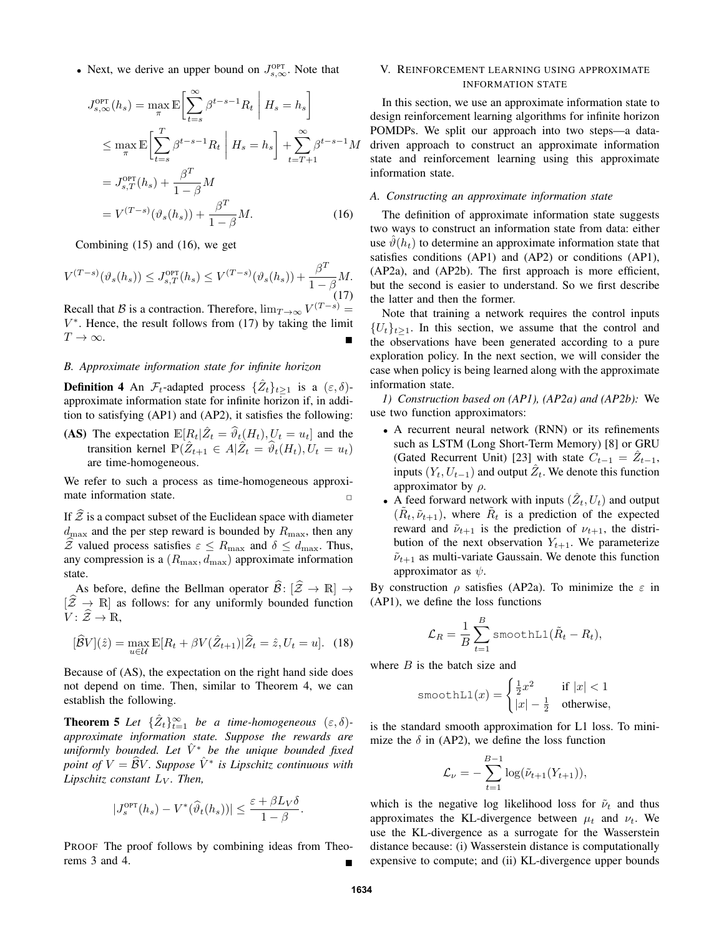• Next, we derive an upper bound on  $J_{s,\infty}^{\text{OPT}}$ . Note that

$$
J_{s,\infty}^{\text{OPT}}(h_s) = \max_{\pi} \mathbb{E} \left[ \sum_{t=s}^{\infty} \beta^{t-s-1} R_t \middle| H_s = h_s \right]
$$
  
\n
$$
\leq \max_{\pi} \mathbb{E} \left[ \sum_{t=s}^{T} \beta^{t-s-1} R_t \middle| H_s = h_s \right] + \sum_{t=T+1}^{\infty} \beta^{t-s-1} M
$$
  
\n
$$
= J_{s,T}^{\text{OPT}}(h_s) + \frac{\beta^T}{1-\beta} M
$$
  
\n
$$
= V^{(T-s)}(\vartheta_s(h_s)) + \frac{\beta^T}{1-\beta} M. \tag{16}
$$

Combining (15) and (16), we get

$$
V^{(T-s)}(\vartheta_s(h_s)) \le J_{s,T}^{\text{OPT}}(h_s) \le V^{(T-s)}(\vartheta_s(h_s)) + \frac{\beta^T}{1 - \beta}M.
$$
\n(17)

Recall that *B* is a contraction. Therefore,  $\lim_{T \to \infty} V^{(T-s)} =$ *V ∗* . Hence, the result follows from (17) by taking the limit  $T \rightarrow \infty$ .

### *B. Approximate information state for infinite horizon*

**Definition 4** An  $\mathcal{F}_t$ -adapted process  $\{\hat{Z}_t\}_{t\geq 1}$  is a  $(\varepsilon, \delta)$ approximate information state for infinite horizon if, in addition to satisfying (AP1) and (AP2), it satisfies the following:

(AS) The expectation  $\mathbb{E}[R_t|\hat{Z}_t = \hat{\theta}_t(H_t), U_t = u_t]$  and the transition kernel  $\mathbb{P}(\hat{Z}_{t+1} \in A | \hat{Z}_t = \hat{\vartheta}_t(H_t), U_t = u_t)$ are time-homogeneous.

We refer to such a process as time-homogeneous approximate information state.

If  $Z$  is a compact subset of the Euclidean space with diameter  $d_{\text{max}}$  and the per step reward is bounded by  $R_{\text{max}}$ , then any  $\hat{\mathcal{Z}}$  valued process satisfies  $\varepsilon \leq R_{\text{max}}$  and  $\delta \leq d_{\text{max}}$ . Thus, any compression is a  $(R_{\text{max}}, d_{\text{max}})$  approximate information state.

As before, define the Bellman operator  $\widehat{\mathcal{B}}: [\widehat{\mathcal{Z}} \to \mathbb{R}] \to$  $[\hat{Z} \rightarrow \mathbb{R}]$  as follows: for any uniformly bounded function  $V: \hat{Z} \to \mathbb{R},$ 

$$
[\widehat{B}V](\widehat{z}) = \max_{u \in \mathcal{U}} \mathbb{E}[R_t + \beta V(\widehat{Z}_{t+1}) | \widehat{Z}_t = \widehat{z}, U_t = u]. \tag{18}
$$

Because of (AS), the expectation on the right hand side does not depend on time. Then, similar to Theorem 4, we can establish the following.

**Theorem 5** Let  $\{\hat{Z}_t\}_{t=1}^{\infty}$  be a time-homogeneous  $(\varepsilon, \delta)$ *approximate information state. Suppose the rewards are uniformly bounded. Let*  $\hat{V}^*$  *be the unique bounded fixed point of*  $V = \widehat{B}V$ *. Suppose*  $\hat{V}^*$  *is Lipschitz continuous with Lipschitz constant L<sup>V</sup> . Then,*

$$
|J_s^{\text{OPT}}(h_s) - V^*(\widehat{\vartheta}_t(h_s))| \le \frac{\varepsilon + \beta L_V \delta}{1 - \beta}.
$$

PROOF The proof follows by combining ideas from Theorems  $3$  and  $4$ .

### V. REINFORCEMENT LEARNING USING APPROXIMATE INFORMATION STATE

In this section, we use an approximate information state to design reinforcement learning algorithms for infinite horizon POMDPs. We split our approach into two steps—a datadriven approach to construct an approximate information state and reinforcement learning using this approximate information state.

# *A. Constructing an approximate information state*

The definition of approximate information state suggests two ways to construct an information state from data: either use  $\vartheta(h_t)$  to determine an approximate information state that satisfies conditions (AP1) and (AP2) or conditions (AP1), (AP2a), and (AP2b). The first approach is more efficient, but the second is easier to understand. So we first describe the latter and then the former.

Note that training a network requires the control inputs  ${U_t}_{t \geq 1}$ . In this section, we assume that the control and the observations have been generated according to a pure exploration policy. In the next section, we will consider the case when policy is being learned along with the approximate information state.

*1) Construction based on (AP1), (AP2a) and (AP2b):* We use two function approximators:

- *•* A recurrent neural network (RNN) or its refinements such as LSTM (Long Short-Term Memory) [8] or GRU (Gated Recurrent Unit) [23] with state  $C_{t-1} = \hat{Z}_{t-1}$ , inputs  $(Y_t, U_{t-1})$  and output  $\hat{Z}_t$ . We denote this function approximator by *ρ*.
- A feed forward network with inputs  $(\hat{Z}_t, U_t)$  and output  $(\tilde{R}_t, \tilde{\nu}_{t+1})$ , where  $\tilde{R}_t$  is a prediction of the expected reward and  $\tilde{\nu}_{t+1}$  is the prediction of  $\nu_{t+1}$ , the distribution of the next observation  $Y_{t+1}$ . We parameterize  $\tilde{\nu}_{t+1}$  as multi-variate Gaussain. We denote this function approximator as *ψ*.

By construction *ρ* satisfies (AP2a). To minimize the *ε* in (AP1), we define the loss functions

$$
\mathcal{L}_R = \frac{1}{B} \sum_{t=1}^B \text{smoothL1}(\tilde{R}_t - R_t),
$$

where *B* is the batch size and

smoothL1(x) = 
$$
\begin{cases} \frac{1}{2}x^2 & \text{if } |x| < 1\\ |x| - \frac{1}{2} & \text{otherwise,} \end{cases}
$$

is the standard smooth approximation for L1 loss. To minimize the  $\delta$  in (AP2), we define the loss function

$$
\mathcal{L}_{\nu} = -\sum_{t=1}^{B-1} \log(\tilde{\nu}_{t+1}(Y_{t+1})),
$$

which is the negative log likelihood loss for  $\tilde{\nu}_t$  and thus approximates the KL-divergence between  $\mu_t$  and  $\nu_t$ . We use the KL-divergence as a surrogate for the Wasserstein distance because: (i) Wasserstein distance is computationally expensive to compute; and (ii) KL-divergence upper bounds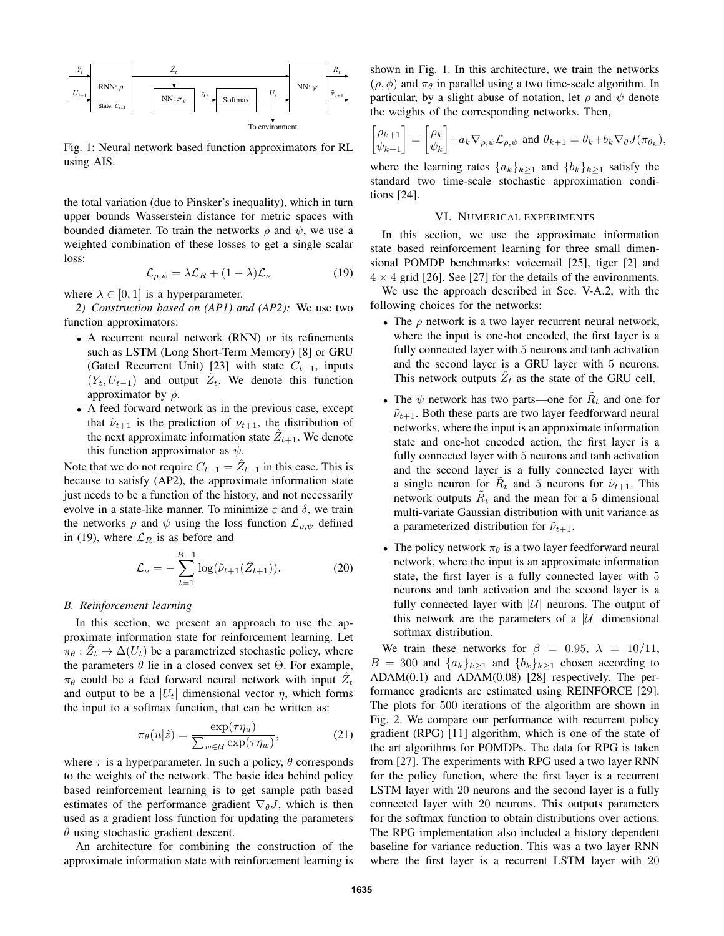

Fig. 1: Neural network based function approximators for RL using AIS.

the total variation (due to Pinsker's inequality), which in turn upper bounds Wasserstein distance for metric spaces with bounded diameter. To train the networks  $\rho$  and  $\psi$ , we use a weighted combination of these losses to get a single scalar loss:

$$
\mathcal{L}_{\rho,\psi} = \lambda \mathcal{L}_R + (1 - \lambda)\mathcal{L}_\nu \tag{19}
$$

where  $\lambda \in [0, 1]$  is a hyperparameter.

*2) Construction based on (AP1) and (AP2):* We use two function approximators:

- *•* A recurrent neural network (RNN) or its refinements such as LSTM (Long Short-Term Memory) [8] or GRU (Gated Recurrent Unit) [23] with state *Ct−*<sup>1</sup>, inputs  $(Y_t, U_{t-1})$  and output  $\hat{Z}_t$ . We denote this function approximator by *ρ*.
- *•* A feed forward network as in the previous case, except that  $\tilde{\nu}_{t+1}$  is the prediction of  $\nu_{t+1}$ , the distribution of the next approximate information state  $\hat{Z}_{t+1}$ . We denote this function approximator as *ψ*.

Note that we do not require  $C_{t-1} = \hat{Z}_{t-1}$  in this case. This is because to satisfy (AP2), the approximate information state just needs to be a function of the history, and not necessarily evolve in a state-like manner. To minimize  $\varepsilon$  and  $\delta$ , we train the networks  $\rho$  and  $\psi$  using the loss function  $\mathcal{L}_{\rho,\psi}$  defined in (19), where  $\mathcal{L}_R$  is as before and

$$
\mathcal{L}_{\nu} = -\sum_{t=1}^{B-1} \log(\tilde{\nu}_{t+1}(\hat{Z}_{t+1})).
$$
 (20)

# *B. Reinforcement learning*

In this section, we present an approach to use the approximate information state for reinforcement learning. Let  $\hat{\pi}_{\theta} : \hat{Z}_t \mapsto \Delta(U_t)$  be a parametrized stochastic policy, where the parameters  $θ$  lie in a closed convex set  $Θ$ . For example,  $\pi_{\theta}$  could be a feed forward neural network with input  $\hat{Z}_t$ and output to be a  $|U_t|$  dimensional vector  $\eta$ , which forms the input to a softmax function, that can be written as:

$$
\pi_{\theta}(u|\hat{z}) = \frac{\exp(\tau \eta_u)}{\sum_{w \in \mathcal{U}} \exp(\tau \eta_w)},\tag{21}
$$

where  $\tau$  is a hyperparameter. In such a policy,  $\theta$  corresponds to the weights of the network. The basic idea behind policy based reinforcement learning is to get sample path based estimates of the performance gradient  $\nabla_{\theta} J$ , which is then used as a gradient loss function for updating the parameters *θ* using stochastic gradient descent.

An architecture for combining the construction of the approximate information state with reinforcement learning is shown in Fig. 1. In this architecture, we train the networks  $(\rho, \phi)$  and  $\pi_{\theta}$  in parallel using a two time-scale algorithm. In particular, by a slight abuse of notation, let *ρ* and *ψ* denote the weights of the corresponding networks. Then,

$$
\begin{bmatrix} \rho_{k+1} \\ \psi_{k+1} \end{bmatrix} = \begin{bmatrix} \rho_k \\ \psi_k \end{bmatrix} + a_k \nabla_{\rho, \psi} \mathcal{L}_{\rho, \psi} \text{ and } \theta_{k+1} = \theta_k + b_k \nabla_{\theta} J(\pi_{\theta_k}),
$$

where the learning rates  $\{a_k\}_{k\geq 1}$  and  $\{b_k\}_{k\geq 1}$  satisfy the standard two time-scale stochastic approximation conditions [24].

#### VI. NUMERICAL EXPERIMENTS

In this section, we use the approximate information state based reinforcement learning for three small dimensional POMDP benchmarks: voicemail [25], tiger [2] and  $4 \times 4$  grid [26]. See [27] for the details of the environments.

We use the approach described in Sec. V-A.2, with the following choices for the networks:

- *•* The *ρ* network is a two layer recurrent neural network, where the input is one-hot encoded, the first layer is a fully connected layer with 5 neurons and tanh activation and the second layer is a GRU layer with 5 neurons. This network outputs  $\hat{Z}_t$  as the state of the GRU cell.
- The  $\psi$  network has two parts—one for  $R_t$  and one for  $\tilde{\nu}_{t+1}$ . Both these parts are two layer feedforward neural networks, where the input is an approximate information state and one-hot encoded action, the first layer is a fully connected layer with 5 neurons and tanh activation and the second layer is a fully connected layer with a single neuron for  $\tilde{R}_t$  and 5 neurons for  $\tilde{\nu}_{t+1}$ . This network outputs  $\tilde{R}_t$  and the mean for a 5 dimensional multi-variate Gaussian distribution with unit variance as a parameterized distribution for  $\tilde{\nu}_{t+1}$ .
- *•* The policy network *π<sup>θ</sup>* is a two layer feedforward neural network, where the input is an approximate information state, the first layer is a fully connected layer with 5 neurons and tanh activation and the second layer is a fully connected layer with  $|\mathcal{U}|$  neurons. The output of this network are the parameters of a  $|U|$  dimensional softmax distribution.

We train these networks for  $\beta = 0.95$ ,  $\lambda = 10/11$ ,  $B = 300$  and  $\{a_k\}_{k>1}$  and  $\{b_k\}_{k>1}$  chosen according to ADAM(0.1) and ADAM(0.08) [28] respectively. The performance gradients are estimated using REINFORCE [29]. The plots for 500 iterations of the algorithm are shown in Fig. 2. We compare our performance with recurrent policy gradient (RPG) [11] algorithm, which is one of the state of the art algorithms for POMDPs. The data for RPG is taken from [27]. The experiments with RPG used a two layer RNN for the policy function, where the first layer is a recurrent LSTM layer with 20 neurons and the second layer is a fully connected layer with 20 neurons. This outputs parameters for the softmax function to obtain distributions over actions. The RPG implementation also included a history dependent baseline for variance reduction. This was a two layer RNN where the first layer is a recurrent LSTM layer with 20